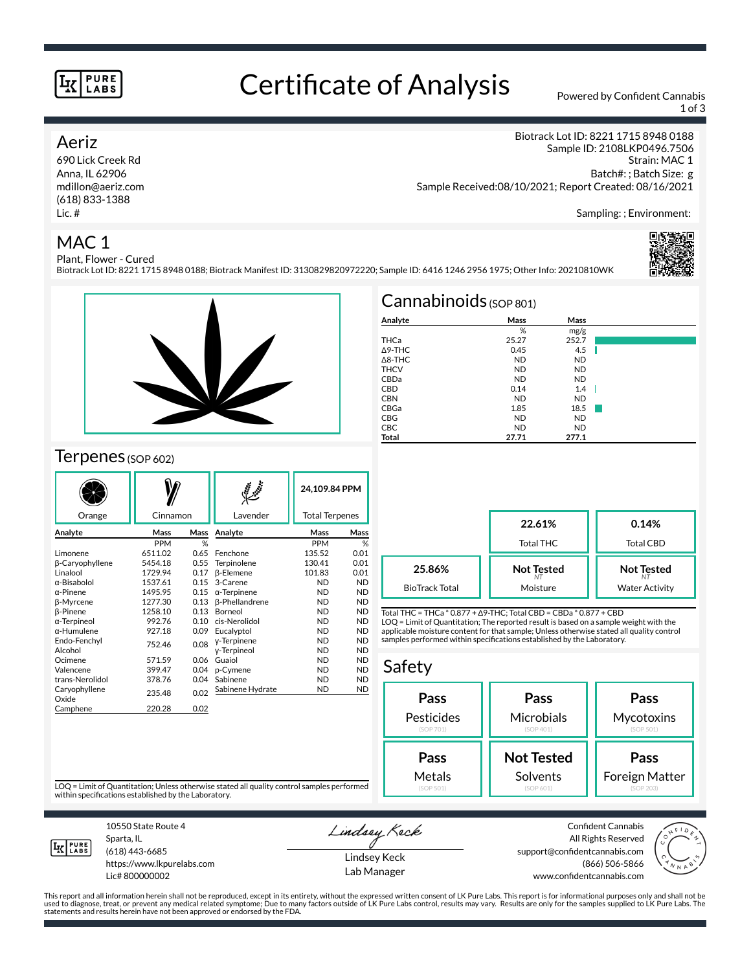#### **PURE LABS**

# Certificate of Analysis Powered by Confident Cannabis

1 of 3

#### Aeriz

690 Lick Creek Rd Anna, IL 62906 mdillon@aeriz.com (618) 833-1388 Lic. #

Biotrack Lot ID: 8221 1715 8948 0188 Sample ID: 2108LKP0496.7506 Strain: MAC 1 Batch#: ; Batch Size: g Sample Received:08/10/2021; Report Created: 08/16/2021

Sampling: ; Environment:

### MAC 1



Plant, Flower - Cured Biotrack Lot ID: 8221 1715 8948 0188; Biotrack Manifest ID: 3130829820972220; Sample ID: 6416 1246 2956 1975; Other Info: 20210810WK



#### Terpenes (SOP 602)

|                        | Cinnamon     |      | $\mathcal{S}$<br>Lavender |            | 24,109.84 PPM         |  |
|------------------------|--------------|------|---------------------------|------------|-----------------------|--|
| Orange                 |              |      |                           |            | <b>Total Terpenes</b> |  |
| Analyte                | Mass<br>Mass |      | Analyte                   | Mass       | Mass                  |  |
|                        | <b>PPM</b>   | %    |                           | <b>PPM</b> | %                     |  |
| Limonene               | 6511.02      | 0.65 | Fenchone                  | 135.52     | 0.01                  |  |
| β-Caryophyllene        | 5454.18      | 0.55 | Terpinolene               | 130.41     | 0.01                  |  |
| Linalool               | 1729.94      | 0.17 | <b>B-Elemene</b>          | 101.83     | 0.01                  |  |
| α-Bisabolol            | 1537.61      | 0.15 | 3-Carene                  | <b>ND</b>  | <b>ND</b>             |  |
| $\alpha$ -Pinene       | 1495.95      | 0.15 | $\alpha$ -Terpinene       | <b>ND</b>  | <b>ND</b>             |  |
| <b>B-Myrcene</b>       | 1277.30      | 0.13 | <b>ß-Phellandrene</b>     | <b>ND</b>  | <b>ND</b>             |  |
| β-Pinene               | 1258.10      | 0.13 | Borneol                   | <b>ND</b>  | <b>ND</b>             |  |
| α-Terpineol            | 992.76       | 0.10 | cis-Nerolidol             | <b>ND</b>  | <b>ND</b>             |  |
| α-Humulene             | 927.18       | 0.09 | Eucalyptol                | <b>ND</b>  | <b>ND</b>             |  |
| Endo-Fenchyl           | 752.46       | 0.08 | y-Terpinene               | <b>ND</b>  | <b>ND</b>             |  |
| Alcohol                |              |      | y-Terpineol               | <b>ND</b>  | <b>ND</b>             |  |
| Ocimene                | 571.59       | 0.06 | Guaiol                    | <b>ND</b>  | <b>ND</b>             |  |
| Valencene              | 399.47       | 0.04 | p-Cymene                  | <b>ND</b>  | <b>ND</b>             |  |
| trans-Nerolidol        | 378.76       | 0.04 | Sabinene                  | <b>ND</b>  | <b>ND</b>             |  |
| Caryophyllene<br>Oxide | 235.48       | 0.02 | Sabinene Hydrate          | <b>ND</b>  | <b>ND</b>             |  |
| Camphene               | 220.28       | 0.02 |                           |            |                       |  |

| $Cannabinoids_{(SOP 801)}$ |           |           |  |  |  |  |  |
|----------------------------|-----------|-----------|--|--|--|--|--|
| Analyte                    | Mass      | Mass      |  |  |  |  |  |
|                            | %         | mg/g      |  |  |  |  |  |
| THCa                       | 25.27     | 252.7     |  |  |  |  |  |
| $\triangle$ 9-THC          | 0.45      | 4.5       |  |  |  |  |  |
| $\triangle$ 8-THC          | <b>ND</b> | <b>ND</b> |  |  |  |  |  |
| <b>THCV</b>                | <b>ND</b> | <b>ND</b> |  |  |  |  |  |
| CBDa                       | <b>ND</b> | <b>ND</b> |  |  |  |  |  |
| <b>CBD</b>                 | 0.14      | 1.4       |  |  |  |  |  |
| <b>CBN</b>                 | <b>ND</b> | <b>ND</b> |  |  |  |  |  |
| CBGa                       | 1.85      | 18.5      |  |  |  |  |  |
| CBG                        | <b>ND</b> | <b>ND</b> |  |  |  |  |  |
| <b>CBC</b>                 | <b>ND</b> | <b>ND</b> |  |  |  |  |  |
| Total                      | 27.71     | 277.1     |  |  |  |  |  |

|                       | 22.61%<br><b>Total THC</b> | 0.14%<br>Total CBD    |
|-----------------------|----------------------------|-----------------------|
| 25.86%                | <b>Not Tested</b>          | <b>Not Tested</b>     |
| <b>BioTrack Total</b> | Moisture                   | <b>Water Activity</b> |

Total THC = THCa \* 0.877 + ∆9-THC; Total CBD = CBDa \* 0.877 + CBD LOQ = Limit of Quantitation; The reported result is based on a sample weight with the applicable moisture content for that sample; Unless otherwise stated all quality control samples performed within specifications established by the Laboratory.

#### Safety **Pass** Pesticides (SOP 701) **Pass Microbials** (SOP 401) **Pass Mycotoxins** (SOP 501) **Not Tested Solvents Pass** Foreign Matter **Pass** Metals

LOQ = Limit of Quantitation; Unless otherwise stated all quality control samples performed within specifications established by the Laboratory.



Sparta, IL (618) 443-6685

10550 State Route 4

https://www.lkpurelabs.com Lic# 800000002

Lindsey Keck

Lindsey Keck Lab Manager

Confident Cannabis All Rights Reserved support@confidentcannabis.com (866) 506-5866 www.confidentcannabis.com



This report and all information herein shall not be reproduced, except in its entirety, without the expressed written consent of LK Pure Labs. This report is for informational purposes only and shall not be<br>used to diagnos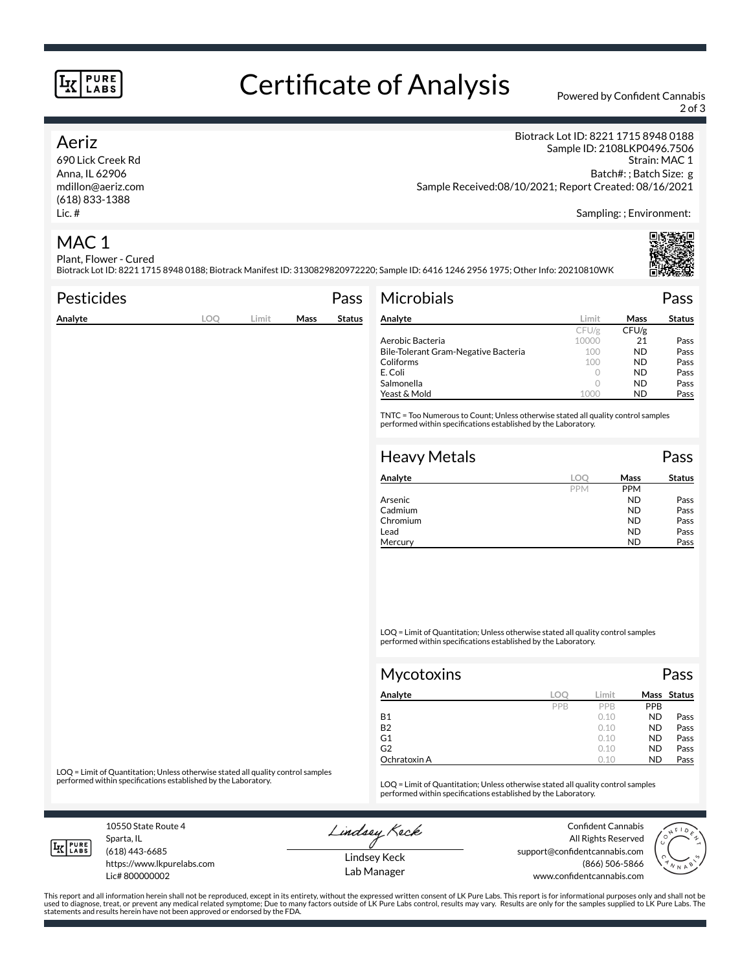#### **PURE LABS**

# Certificate of Analysis Powered by Confident Cannabis

2 of 3

#### Aeriz

690 Lick Creek Rd Anna, IL 62906 mdillon@aeriz.com (618) 833-1388 Lic. #

Biotrack Lot ID: 8221 1715 8948 0188 Sample ID: 2108LKP0496.7506 Strain: MAC 1 Batch#: ; Batch Size: g Sample Received:08/10/2021; Report Created: 08/16/2021

Sampling: ; Environment:

### MAC 1

Plant, Flower - Cured Biotrack Lot ID: 8221 1715 8948 0188; Biotrack Manifest ID: 3130829820972220; Sample ID: 6416 1246 2956 1975; Other Info: 20210810WK

| <b>Pesticides</b>                                                                                                                                   |            |       |      | Pass          | <b>Microbials</b>                    |            |            | Pass          |
|-----------------------------------------------------------------------------------------------------------------------------------------------------|------------|-------|------|---------------|--------------------------------------|------------|------------|---------------|
| Analyte                                                                                                                                             | <b>LOO</b> | Limit | Mass | <b>Status</b> | Analyte                              | Limit      | Mass       | <b>Status</b> |
|                                                                                                                                                     |            |       |      |               |                                      | CFU/g      | CFU/g      |               |
|                                                                                                                                                     |            |       |      |               | Aerobic Bacteria                     | 10000      | 21         | Pass          |
|                                                                                                                                                     |            |       |      |               | Bile-Tolerant Gram-Negative Bacteria | 100        | ND.        | Pass          |
|                                                                                                                                                     |            |       |      |               | Coliforms                            | 100        | ND.        | Pass          |
|                                                                                                                                                     |            |       |      |               | E. Coli                              | $\circ$    | ND.        | Pass          |
|                                                                                                                                                     |            |       |      |               | Salmonella                           | $\circ$    | ND.        | Pass          |
|                                                                                                                                                     |            |       |      |               | Yeast & Mold                         | 1000       | ND.        | Pass          |
| TNTC = Too Numerous to Count; Unless otherwise stated all quality control samples<br>performed within specifications established by the Laboratory. |            |       |      |               |                                      |            |            |               |
|                                                                                                                                                     |            |       |      |               | <b>Heavy Metals</b>                  |            |            | Pass          |
|                                                                                                                                                     |            |       |      |               | Analyte                              | <b>LOO</b> | Mass       | <b>Status</b> |
|                                                                                                                                                     |            |       |      |               |                                      | <b>PPM</b> | <b>PPM</b> |               |

|          | <b>PPM</b> | <b>PPM</b> |      |
|----------|------------|------------|------|
| Arsenic  |            | ND         | Pass |
| Cadmium  |            | ND         | Pass |
| Chromium |            | ND         | Pass |
| Lead     |            | ND         | Pass |
| Mercury  |            | <b>ND</b>  | Pass |
|          |            |            |      |

LOQ = Limit of Quantitation; Unless otherwise stated all quality control samples performed within specifications established by the Laboratory.

| Mycotoxins   |     |       |            | Pass        |  |  |
|--------------|-----|-------|------------|-------------|--|--|
| Analyte      | loc | Limit |            | Mass Status |  |  |
|              | PPB | PPB   | <b>PPB</b> |             |  |  |
| Β1           |     | 0.10  | <b>ND</b>  | Pass        |  |  |
| B2           |     | 0.10  | <b>ND</b>  | Pass        |  |  |
| G1           |     | 0.10  | <b>ND</b>  | Pass        |  |  |
| G2           |     | 0.10  | <b>ND</b>  | Pass        |  |  |
| Ochratoxin A |     | 0.10  | <b>ND</b>  | Pass        |  |  |

LOQ = Limit of Quantitation; Unless otherwise stated all quality control samples<br>performed within specifications established by the Laboratory.

LOQ = Limit of Quantitation; Unless otherwise stated all quality control samples performed within specifications established by the Laboratory.

10550 State Route 4 Sparta, IL

Lindsey Keck

Confident Cannabis All Rights Reserved support@confidentcannabis.com (866) 506-5866 www.confidentcannabis.com



Lindsey Keck Lab Manager

This report and all information herein shall not be reproduced, except in its entirety, without the expressed written consent of LK Pure Labs. This report is for informational purposes only and shall not be<br>used to diagnos



(618) 443-6685